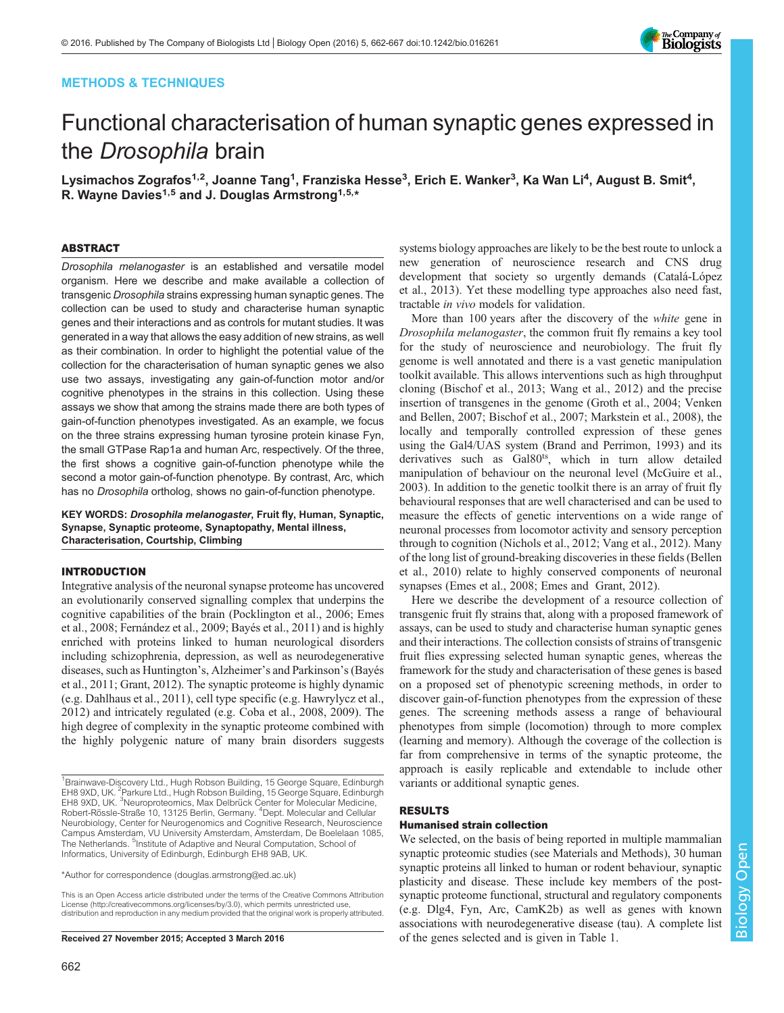# METHODS & TECHNIQUES



# Functional characterisation of human synaptic genes expressed in the Drosophila brain

Lysimachos Zografos<sup>1,2</sup>, Joanne Tang<sup>1</sup>, Franziska Hesse<sup>3</sup>, Erich E. Wanker<sup>3</sup>, Ka Wan Li<sup>4</sup>, August B. Smit<sup>4</sup>, R. Wayne Davies<sup>1,5</sup> and J. Douglas Armstrong<sup>1,5,\*</sup>

## ABSTRACT

Drosophila melanogaster is an established and versatile model organism. Here we describe and make available a collection of transgenic Drosophila strains expressing human synaptic genes. The collection can be used to study and characterise human synaptic genes and their interactions and as controls for mutant studies. It was generated in a way that allows the easy addition of new strains, as well as their combination. In order to highlight the potential value of the collection for the characterisation of human synaptic genes we also use two assays, investigating any gain-of-function motor and/or cognitive phenotypes in the strains in this collection. Using these assays we show that among the strains made there are both types of gain-of-function phenotypes investigated. As an example, we focus on the three strains expressing human tyrosine protein kinase Fyn, the small GTPase Rap1a and human Arc, respectively. Of the three, the first shows a cognitive gain-of-function phenotype while the second a motor gain-of-function phenotype. By contrast, Arc, which has no Drosophila ortholog, shows no gain-of-function phenotype.

KEY WORDS: Drosophila melanogaster, Fruit fly, Human, Synaptic, Synapse, Synaptic proteome, Synaptopathy, Mental illness, Characterisation, Courtship, Climbing

# INTRODUCTION

Integrative analysis of the neuronal synapse proteome has uncovered an evolutionarily conserved signalling complex that underpins the cognitive capabilities of the brain ([Pocklington et al., 2006](#page-5-0); [Emes](#page-4-0) [et al., 2008](#page-4-0); [Fernández et al., 2009](#page-4-0); [Bayés et al., 2011\)](#page-4-0) and is highly enriched with proteins linked to human neurological disorders including schizophrenia, depression, as well as neurodegenerative diseases, such as Huntington's, Alzheimer's and Parkinson's [\(Bayés](#page-4-0) [et al., 2011](#page-4-0); [Grant, 2012](#page-4-0)). The synaptic proteome is highly dynamic (e.g. [Dahlhaus et al., 2011\)](#page-4-0), cell type specific (e.g. [Hawrylycz et al.,](#page-4-0) [2012](#page-4-0)) and intricately regulated (e.g. [Coba et al., 2008, 2009](#page-4-0)). The high degree of complexity in the synaptic proteome combined with the highly polygenic nature of many brain disorders suggests

\*Author for correspondence [\(douglas.armstrong@ed.ac.uk](mailto:douglas.armstrong@ed.ac.uk))

This is an Open Access article distributed under the terms of the Creative Commons Attribution License [\(http://creativecommons.org/licenses/by/3.0\)](http://creativecommons.org/licenses/by/3.0), which permits unrestricted use, distribution and reproduction in any medium provided that the original work is properly attributed.

systems biology approaches are likely to be the best route to unlock a new generation of neuroscience research and CNS drug development that society so urgently demands ([Catalá-López](#page-4-0) [et al., 2013\)](#page-4-0). Yet these modelling type approaches also need fast, tractable in vivo models for validation.

More than 100 years after the discovery of the white gene in Drosophila melanogaster, the common fruit fly remains a key tool for the study of neuroscience and neurobiology. The fruit fly genome is well annotated and there is a vast genetic manipulation toolkit available. This allows interventions such as high throughput cloning ([Bischof et al., 2013;](#page-4-0) [Wang et al., 2012](#page-5-0)) and the precise insertion of transgenes in the genome ([Groth et al., 2004](#page-4-0); [Venken](#page-5-0) [and Bellen, 2007;](#page-5-0) [Bischof et al., 2007](#page-4-0); [Markstein et al., 2008](#page-4-0)), the locally and temporally controlled expression of these genes using the Gal4/UAS system [\(Brand and Perrimon, 1993](#page-4-0)) and its derivatives such as Gal80<sup>ts</sup>, which in turn allow detailed manipulation of behaviour on the neuronal level [\(McGuire et al.,](#page-4-0) [2003\)](#page-4-0). In addition to the genetic toolkit there is an array of fruit fly behavioural responses that are well characterised and can be used to measure the effects of genetic interventions on a wide range of neuronal processes from locomotor activity and sensory perception through to cognition [\(Nichols et al., 2012](#page-4-0); [Vang et al., 2012](#page-5-0)). Many of the long list of ground-breaking discoveries in these fields [\(Bellen](#page-4-0) [et al., 2010](#page-4-0)) relate to highly conserved components of neuronal synapses [\(Emes et al., 2008](#page-4-0); [Emes and Grant, 2012](#page-4-0)).

Here we describe the development of a resource collection of transgenic fruit fly strains that, along with a proposed framework of assays, can be used to study and characterise human synaptic genes and their interactions. The collection consists of strains of transgenic fruit flies expressing selected human synaptic genes, whereas the framework for the study and characterisation of these genes is based on a proposed set of phenotypic screening methods, in order to discover gain-of-function phenotypes from the expression of these genes. The screening methods assess a range of behavioural phenotypes from simple (locomotion) through to more complex (learning and memory). Although the coverage of the collection is far from comprehensive in terms of the synaptic proteome, the approach is easily replicable and extendable to include other variants or additional synaptic genes.

# RESULTS

## Humanised strain collection

We selected, on the basis of being reported in multiple mammalian synaptic proteomic studies (see Materials and Methods), 30 human synaptic proteins all linked to human or rodent behaviour, synaptic plasticity and disease. These include key members of the postsynaptic proteome functional, structural and regulatory components (e.g. Dlg4, Fyn, Arc, CamK2b) as well as genes with known associations with neurodegenerative disease (tau). A complete list Received 27 November 2015; Accepted 3 March 2016 of the genes selected and is given in [Table 1](#page-1-0).

Biology Open

Biology

Open

<sup>&</sup>lt;sup>1</sup>Brainwave-Discovery Ltd., Hugh Robson Building, 15 George Square, Edinburgh EH8 9XD, UK. <sup>2</sup> Parkure Ltd., Hugh Robson Building, 15 George Square, Edinburgh EH8 9XD, UK. <sup>3</sup>Neuroproteomics, Max Delbrück Center for Molecular Medicine, Robert-Rössle-Straße 10, 13125 Berlin, Germany. <sup>4</sup>Dept. Molecular and Cellular Neurobiology, Center for Neurogenomics and Cognitive Research, Neuroscience Campus Amsterdam, VU University Amsterdam, Amsterdam, De Boelelaan 1085, The Netherlands. <sup>5</sup>Institute of Adaptive and Neural Computation, School of Informatics, University of Edinburgh, Edinburgh EH8 9AB, UK.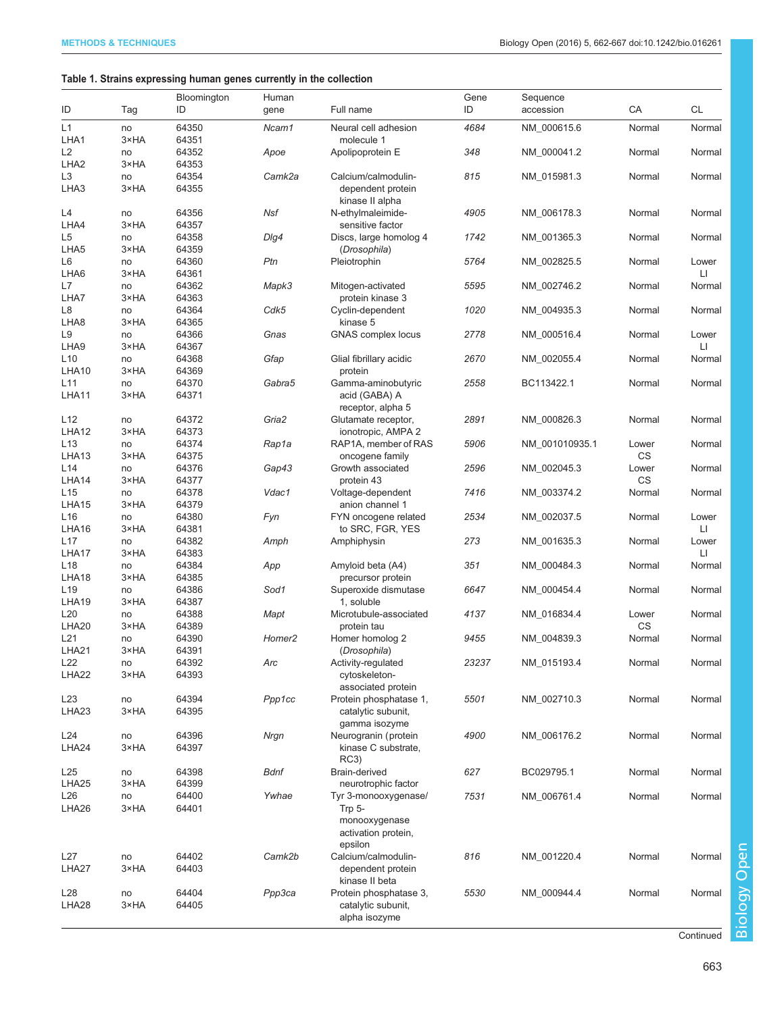# <span id="page-1-0"></span>Table 1. Strains expressing human genes currently in the collection

|                                      |            | Bloomington    | Human              |                                                             | Gene  | Sequence       |             |             |
|--------------------------------------|------------|----------------|--------------------|-------------------------------------------------------------|-------|----------------|-------------|-------------|
| ID                                   | Tag        | ID             | gene               | Full name                                                   | ID    | accession      | CA          | <b>CL</b>   |
| L1<br>LHA1                           | no<br>3×HA | 64350<br>64351 | Ncam1              | Neural cell adhesion<br>molecule 1                          | 4684  | NM_000615.6    | Normal      | Normal      |
| L <sub>2</sub><br>LHA <sub>2</sub>   | no<br>3×HA | 64352<br>64353 | Apoe               | Apolipoprotein E                                            | 348   | NM_000041.2    | Normal      | Normal      |
| L <sub>3</sub>                       | no         | 64354          | Camk2a             | Calcium/calmodulin-                                         | 815   | NM_015981.3    | Normal      | Normal      |
| LHA <sub>3</sub>                     | 3×HA       | 64355          |                    | dependent protein<br>kinase II alpha                        |       |                |             |             |
| L4<br>LHA4                           | no<br>3×HA | 64356<br>64357 | Nsf                | N-ethylmaleimide-<br>sensitive factor                       | 4905  | NM_006178.3    | Normal      | Normal      |
| L <sub>5</sub>                       | no         | 64358          | $D\vert q4$        | Discs, large homolog 4                                      | 1742  | NM_001365.3    | Normal      | Normal      |
| LHA <sub>5</sub><br>L6               | 3×HA<br>no | 64359<br>64360 | Ptn                | (Drosophila)<br>Pleiotrophin                                | 5764  | NM_002825.5    | Normal      | Lower       |
| LHA <sub>6</sub>                     | 3×HA       | 64361          |                    |                                                             |       |                |             | LI          |
| L7<br>LHA7                           | no<br>3×HA | 64362<br>64363 | Mapk3              | Mitogen-activated<br>protein kinase 3                       | 5595  | NM_002746.2    | Normal      | Normal      |
| L8                                   | no         | 64364          | Cdk5               | Cyclin-dependent                                            | 1020  | NM_004935.3    | Normal      | Normal      |
| LHA <sub>8</sub>                     | 3×HA       | 64365<br>64366 | Gnas               | kinase 5                                                    | 2778  |                |             |             |
| L9<br>LHA9                           | no<br>3×HA | 64367          |                    | <b>GNAS</b> complex locus                                   |       | NM_000516.4    | Normal      | Lower<br>LI |
| L <sub>10</sub>                      | no         | 64368          | Gfap               | Glial fibrillary acidic                                     | 2670  | NM_002055.4    | Normal      | Normal      |
| LHA10                                | 3×HA       | 64369          |                    | protein                                                     |       |                |             |             |
| L11                                  | no         | 64370          | Gabra5             | Gamma-aminobutyric                                          | 2558  | BC113422.1     | Normal      | Normal      |
| LHA11                                | 3×HA       | 64371          |                    | acid (GABA) A<br>receptor, alpha 5                          |       |                |             |             |
| L <sub>12</sub><br>LHA <sub>12</sub> | no<br>3×HA | 64372<br>64373 | Gria2              | Glutamate receptor,<br>ionotropic, AMPA 2                   | 2891  | NM 000826.3    | Normal      | Normal      |
| L <sub>13</sub>                      | no         | 64374          | Rap1a              | RAP1A, member of RAS                                        | 5906  | NM 001010935.1 | Lower       | Normal      |
| LHA <sub>13</sub>                    | 3×HA       | 64375          |                    | oncogene family                                             |       |                | CS          |             |
| L <sub>14</sub>                      | no         | 64376          | Gap43              | Growth associated                                           | 2596  | NM_002045.3    | Lower<br>CS | Normal      |
| LHA14<br>L <sub>15</sub>             | 3×HA       | 64377<br>64378 | Vdac1              | protein 43                                                  | 7416  |                |             |             |
| LHA15                                | no<br>3×HA | 64379          |                    | Voltage-dependent<br>anion channel 1                        |       | NM_003374.2    | Normal      | Normal      |
| L <sub>16</sub>                      | no         | 64380          | Fyn                | FYN oncogene related                                        | 2534  | NM_002037.5    | Normal      | Lower       |
| LHA16                                | 3×HA       | 64381          |                    | to SRC, FGR, YES                                            |       |                |             | LI.         |
| L <sub>17</sub><br>LHA17             | no<br>3×HA | 64382<br>64383 | Amph               | Amphiphysin                                                 | 273   | NM_001635.3    | Normal      | Lower<br>LI |
| L <sub>18</sub>                      | no         | 64384          | App                | Amyloid beta (A4)                                           | 351   | NM_000484.3    | Normal      | Normal      |
| LHA18                                | 3×HA       | 64385          |                    | precursor protein                                           |       |                |             |             |
| L <sub>19</sub>                      | no         | 64386          | Sod1               | Superoxide dismutase                                        | 6647  | NM_000454.4    | Normal      | Normal      |
| LHA19                                | 3×HA       | 64387          |                    | 1, soluble                                                  |       |                |             |             |
| L <sub>20</sub>                      | no         | 64388          | Mapt               | Microtubule-associated                                      | 4137  | NM_016834.4    | Lower       | Normal      |
| LHA <sub>20</sub>                    | 3×HA       | 64389          |                    | protein tau                                                 |       |                | CS          |             |
| L21                                  | no         | 64390          | Homer <sub>2</sub> | Homer homolog 2                                             | 9455  | NM_004839.3    | Normal      | Normal      |
| LHA <sub>21</sub>                    | 3×HA       | 64391          |                    | (Drosophila)                                                |       |                |             |             |
| L22                                  | no         | 64392          | Arc                | Activity-regulated                                          | 23237 | NM_015193.4    | Normal      | Normal      |
| LHA22                                | 3×HA       | 64393          |                    | cytoskeleton-<br>associated protein                         |       |                |             |             |
| L23                                  | no         | 64394          | Ppp1cc             | Protein phosphatase 1,                                      | 5501  | NM_002710.3    | Normal      | Normal      |
| LHA <sub>23</sub>                    | 3×HA       | 64395          |                    | catalytic subunit,<br>gamma isozyme                         |       |                |             |             |
| L24                                  | no         | 64396          | Nrgn               | Neurogranin (protein                                        | 4900  | NM_006176.2    | Normal      | Normal      |
| LHA <sub>24</sub>                    | 3×HA       | 64397          |                    | kinase C substrate,<br>RC3)                                 |       |                |             |             |
| L25                                  | no         | 64398          | Bdnf               | Brain-derived                                               | 627   | BC029795.1     | Normal      | Normal      |
| LHA <sub>25</sub>                    | 3×HA       | 64399          |                    | neurotrophic factor                                         |       |                |             |             |
| L <sub>26</sub>                      | no         | 64400          | Ywhae              | Tyr 3-monooxygenase/                                        | 7531  | NM_006761.4    | Normal      | Normal      |
| LHA <sub>26</sub>                    | 3×HA       | 64401          |                    | Trp $5-$<br>monooxygenase<br>activation protein,<br>epsilon |       |                |             |             |
| L27                                  | no         | 64402          | Camk2b             | Calcium/calmodulin-                                         | 816   | NM_001220.4    | Normal      | Normal      |
| LHA27                                | 3×HA       | 64403          |                    | dependent protein<br>kinase II beta                         |       |                |             |             |
| L <sub>28</sub>                      | no         | 64404          | <b>Ррр3са</b>      | Protein phosphatase 3,                                      | 5530  | NM_000944.4    | Normal      | Normal      |
| LHA <sub>28</sub>                    | 3×HA       | 64405          |                    | catalytic subunit,<br>alpha isozyme                         |       |                |             |             |

**Biology Open** Biology Open

**Continued**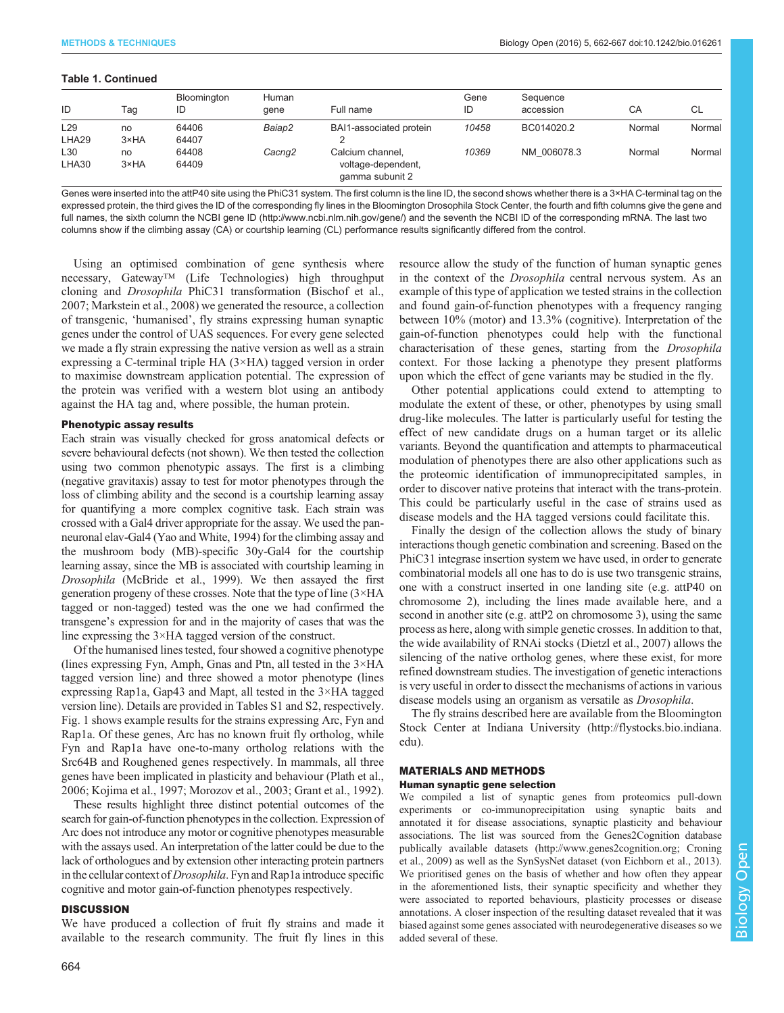# Table 1. Continued

| ID              | Tag  | Bloomington<br>ID | Human<br>aene      | Full name                             | Gene<br>ID | Sequence<br>accession | CA     | <b>CL</b> |  |  |  |
|-----------------|------|-------------------|--------------------|---------------------------------------|------------|-----------------------|--------|-----------|--|--|--|
| L <sub>29</sub> | no   | 64406             | Baiap2             | BAI1-associated protein               | 10458      | BC014020.2            | Normal | Normal    |  |  |  |
| LHA29           | 3×HA | 64407             |                    |                                       |            |                       |        |           |  |  |  |
| L30             | no   | 64408             | Cacng <sub>2</sub> | Calcium channel,                      | 10369      | NM 006078.3           | Normal | Normal    |  |  |  |
| LHA30           | 3×HA | 64409             |                    | voltage-dependent,<br>gamma subunit 2 |            |                       |        |           |  |  |  |

Genes were inserted into the attP40 site using the PhiC31 system. The first column is the line ID, the second shows whether there is a 3×HA C-terminal tag on the expressed protein, the third gives the ID of the corresponding fly lines in the Bloomington Drosophila Stock Center, the fourth and fifth columns give the gene and full names, the sixth column the NCBI gene ID ([http://www.ncbi.nlm.nih.gov/gene/\)](http://www.ncbi.nlm.nih.gov/gene/) and the seventh the NCBI ID of the corresponding mRNA. The last two columns show if the climbing assay (CA) or courtship learning (CL) performance results significantly differed from the control.

Using an optimised combination of gene synthesis where necessary, Gateway™ (Life Technologies) high throughput cloning and Drosophila PhiC31 transformation ([Bischof et al.,](#page-4-0) [2007](#page-4-0); [Markstein et al., 2008](#page-4-0)) we generated the resource, a collection of transgenic, 'humanised', fly strains expressing human synaptic genes under the control of UAS sequences. For every gene selected we made a fly strain expressing the native version as well as a strain expressing a C-terminal triple HA (3×HA) tagged version in order to maximise downstream application potential. The expression of the protein was verified with a western blot using an antibody against the HA tag and, where possible, the human protein.

## Phenotypic assay results

Each strain was visually checked for gross anatomical defects or severe behavioural defects (not shown). We then tested the collection using two common phenotypic assays. The first is a climbing (negative gravitaxis) assay to test for motor phenotypes through the loss of climbing ability and the second is a courtship learning assay for quantifying a more complex cognitive task. Each strain was crossed with a Gal4 driver appropriate for the assay. We used the panneuronal elav-Gal4 ([Yao and White, 1994](#page-5-0)) for the climbing assay and the mushroom body (MB)-specific 30y-Gal4 for the courtship learning assay, since the MB is associated with courtship learning in Drosophila ([McBride et al., 1999](#page-4-0)). We then assayed the first generation progeny of these crosses. Note that the type of line (3×HA tagged or non-tagged) tested was the one we had confirmed the transgene's expression for and in the majority of cases that was the line expressing the 3×HA tagged version of the construct.

Of the humanised lines tested, four showed a cognitive phenotype (lines expressing Fyn, Amph, Gnas and Ptn, all tested in the 3×HA tagged version line) and three showed a motor phenotype (lines expressing Rap1a, Gap43 and Mapt, all tested in the 3×HA tagged version line). Details are provided in [Tables S1 and S2,](http://bio.biologists.org/lookup/suppl/doi:10.1242/bio.016261/-/DC1) respectively. [Fig. 1](#page-3-0) shows example results for the strains expressing Arc, Fyn and Rap1a. Of these genes, Arc has no known fruit fly ortholog, while Fyn and Rap1a have one-to-many ortholog relations with the Src64B and Roughened genes respectively. In mammals, all three genes have been implicated in plasticity and behaviour [\(Plath et al.,](#page-4-0) [2006](#page-4-0); [Kojima et al., 1997](#page-4-0); [Morozov et al., 2003](#page-4-0); [Grant et al., 1992\)](#page-4-0).

These results highlight three distinct potential outcomes of the search for gain-of-function phenotypes in the collection. Expression of Arc does not introduce any motor or cognitive phenotypes measurable with the assays used. An interpretation of the latter could be due to the lack of orthologues and by extension other interacting protein partners in the cellular context of Drosophila. Fyn and Rap1a introduce specific cognitive and motor gain-of-function phenotypes respectively.

# **DISCUSSION**

We have produced a collection of fruit fly strains and made it available to the research community. The fruit fly lines in this resource allow the study of the function of human synaptic genes in the context of the Drosophila central nervous system. As an example of this type of application we tested strains in the collection and found gain-of-function phenotypes with a frequency ranging between 10% (motor) and 13.3% (cognitive). Interpretation of the gain-of-function phenotypes could help with the functional characterisation of these genes, starting from the Drosophila context. For those lacking a phenotype they present platforms upon which the effect of gene variants may be studied in the fly.

Other potential applications could extend to attempting to modulate the extent of these, or other, phenotypes by using small drug-like molecules. The latter is particularly useful for testing the effect of new candidate drugs on a human target or its allelic variants. Beyond the quantification and attempts to pharmaceutical modulation of phenotypes there are also other applications such as the proteomic identification of immunoprecipitated samples, in order to discover native proteins that interact with the trans-protein. This could be particularly useful in the case of strains used as disease models and the HA tagged versions could facilitate this.

Finally the design of the collection allows the study of binary interactions though genetic combination and screening. Based on the PhiC31 integrase insertion system we have used, in order to generate combinatorial models all one has to do is use two transgenic strains, one with a construct inserted in one landing site (e.g. attP40 on chromosome 2), including the lines made available here, and a second in another site (e.g. attP2 on chromosome 3), using the same process as here, along with simple genetic crosses. In addition to that, the wide availability of RNAi stocks ([Dietzl et al., 2007\)](#page-4-0) allows the silencing of the native ortholog genes, where these exist, for more refined downstream studies. The investigation of genetic interactions is very useful in order to dissect the mechanisms of actions in various disease models using an organism as versatile as Drosophila.

The fly strains described here are available from the Bloomington Stock Center at Indiana University ([http://flystocks.bio.indiana.](http://flystocks.bio.indiana.edu) [edu\)](http://flystocks.bio.indiana.edu).

## MATERIALS AND METHODS Human synaptic gene selection

We compiled a list of synaptic genes from proteomics pull-down experiments or co-immunoprecipitation using synaptic baits and annotated it for disease associations, synaptic plasticity and behaviour associations. The list was sourced from the Genes2Cognition database publically available datasets ([http://www.genes2cognition.org;](http://www.genes2cognition.org) [Croning](#page-4-0) [et al., 2009](#page-4-0)) as well as the SynSysNet dataset [\(von Eichborn et al., 2013](#page-5-0)). We prioritised genes on the basis of whether and how often they appear in the aforementioned lists, their synaptic specificity and whether they were associated to reported behaviours, plasticity processes or disease annotations. A closer inspection of the resulting dataset revealed that it was biased against some genes associated with neurodegenerative diseases so we added several of these.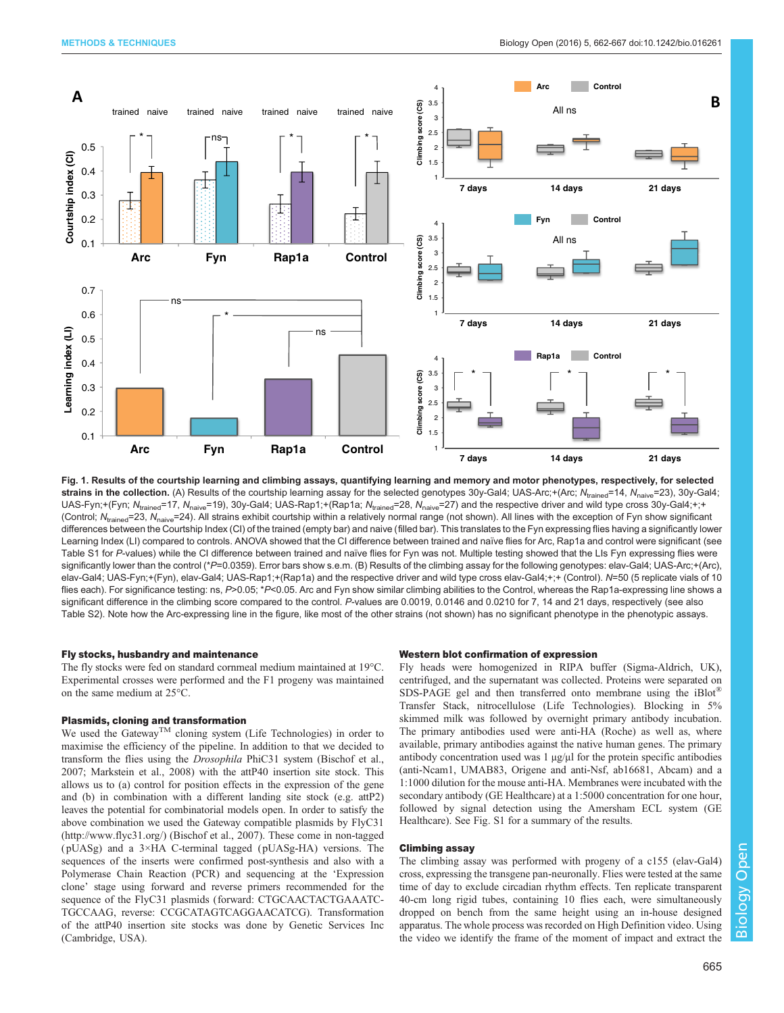<span id="page-3-0"></span>

Fig. 1. Results of the courtship learning and climbing assays, quantifying learning and memory and motor phenotypes, respectively, for selected strains in the collection. (A) Results of the courtship learning assay for the selected genotypes 30y-Gal4; UAS-Arc;+(Arc;  $N_{\text{trained}}$ =14,  $N_{\text{naive}}$ =23), 30y-Gal4; UAS-Fyn;+(Fyn; N<sub>trained</sub>=17, N<sub>naive</sub>=19), 30y-Gal4; UAS-Rap1;+(Rap1a; N<sub>trained</sub>=28, N<sub>naive</sub>=27) and the respective driver and wild type cross 30y-Gal4;+;+ (Control;  $N_{\text{trained}}$ =23,  $N_{\text{naive}}$ =24). All strains exhibit courtship within a relatively normal range (not shown). All lines with the exception of Fyn show significant differences between the Courtship Index (CI) of the trained (empty bar) and naive (filled bar). This translates to the Fyn expressing flies having a significantly lower Learning Index (LI) compared to controls. ANOVA showed that the CI difference between trained and naïve flies for Arc, Rap1a and control were significant (see [Table S1](http://bio.biologists.org/lookup/suppl/doi:10.1242/bio.016261/-/DC1) for P-values) while the CI difference between trained and naïve flies for Fyn was not. Multiple testing showed that the LIs Fyn expressing flies were significantly lower than the control (\*P=0.0359). Error bars show s.e.m. (B) Results of the climbing assay for the following genotypes: elav-Gal4; UAS-Arc;+(Arc), elav-Gal4; UAS-Fyn;+(Fyn), elav-Gal4; UAS-Rap1;+(Rap1a) and the respective driver and wild type cross elav-Gal4;+;+ (Control). N=50 (5 replicate vials of 10 flies each). For significance testing: ns, P>0.05; \*P<0.05. Arc and Fyn show similar climbing abilities to the Control, whereas the Rap1a-expressing line shows a significant difference in the climbing score compared to the control. P-values are 0.0019, 0.0146 and 0.0210 for 7, 14 and 21 days, respectively (see also [Table S2\)](http://bio.biologists.org/lookup/suppl/doi:10.1242/bio.016261/-/DC1). Note how the Arc-expressing line in the figure, like most of the other strains (not shown) has no significant phenotype in the phenotypic assays.

## Fly stocks, husbandry and maintenance

The fly stocks were fed on standard cornmeal medium maintained at 19°C. Experimental crosses were performed and the F1 progeny was maintained on the same medium at 25°C.

## Plasmids, cloning and transformation

We used the Gateway<sup>TM</sup> cloning system (Life Technologies) in order to maximise the efficiency of the pipeline. In addition to that we decided to transform the flies using the Drosophila PhiC31 system ([Bischof et al.,](#page-4-0) [2007](#page-4-0); [Markstein et al., 2008](#page-4-0)) with the attP40 insertion site stock. This allows us to (a) control for position effects in the expression of the gene and (b) in combination with a different landing site stock (e.g. attP2) leaves the potential for combinatorial models open. In order to satisfy the above combination we used the Gateway compatible plasmids by FlyC31 (<http://www.flyc31.org/>) [\(Bischof et al., 2007](#page-4-0)). These come in non-tagged ( pUASg) and a 3×HA C-terminal tagged ( pUASg-HA) versions. The sequences of the inserts were confirmed post-synthesis and also with a Polymerase Chain Reaction (PCR) and sequencing at the 'Expression clone' stage using forward and reverse primers recommended for the sequence of the FlyC31 plasmids (forward: CTGCAACTACTGAAATC-TGCCAAG, reverse: CCGCATAGTCAGGAACATCG). Transformation of the attP40 insertion site stocks was done by Genetic Services Inc (Cambridge, USA).

## Western blot confirmation of expression

Fly heads were homogenized in RIPA buffer (Sigma-Aldrich, UK), centrifuged, and the supernatant was collected. Proteins were separated on SDS-PAGE gel and then transferred onto membrane using the iBlot<sup>®</sup> Transfer Stack, nitrocellulose (Life Technologies). Blocking in 5% skimmed milk was followed by overnight primary antibody incubation. The primary antibodies used were anti-HA (Roche) as well as, where available, primary antibodies against the native human genes. The primary antibody concentration used was 1 μg/μl for the protein specific antibodies (anti-Ncam1, UMAB83, Origene and anti-Nsf, ab16681, Abcam) and a 1:1000 dilution for the mouse anti-HA. Membranes were incubated with the secondary antibody (GE Healthcare) at a 1:5000 concentration for one hour, followed by signal detection using the Amersham ECL system (GE Healthcare). See [Fig. S1](http://bio.biologists.org/lookup/suppl/doi:10.1242/bio.016261/-/DC1) for a summary of the results.

# Climbing assay

The climbing assay was performed with progeny of a c155 (elav-Gal4) cross, expressing the transgene pan-neuronally. Flies were tested at the same time of day to exclude circadian rhythm effects. Ten replicate transparent 40-cm long rigid tubes, containing 10 flies each, were simultaneously dropped on bench from the same height using an in-house designed apparatus. The whole process was recorded on High Definition video. Using the video we identify the frame of the moment of impact and extract the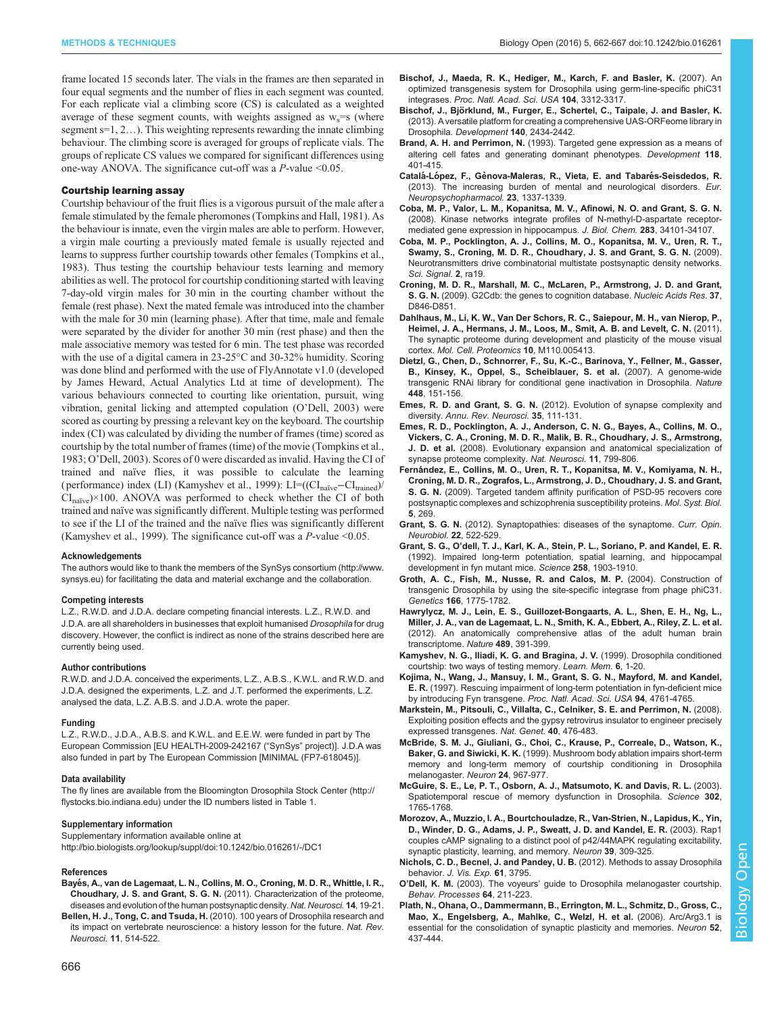<span id="page-4-0"></span>frame located 15 seconds later. The vials in the frames are then separated in four equal segments and the number of flies in each segment was counted. For each replicate vial a climbing score (CS) is calculated as a weighted average of these segment counts, with weights assigned as  $w_s$ =s (where segment s=1, 2…). This weighting represents rewarding the innate climbing behaviour. The climbing score is averaged for groups of replicate vials. The groups of replicate CS values we compared for significant differences using one-way ANOVA. The significance cut-off was a  $P$ -value <0.05.

#### Courtship learning assay

Courtship behaviour of the fruit flies is a vigorous pursuit of the male after a female stimulated by the female pheromones ([Tompkins and Hall, 1981](#page-5-0)). As the behaviour is innate, even the virgin males are able to perform. However, a virgin male courting a previously mated female is usually rejected and learns to suppress further courtship towards other females ([Tompkins et al.,](#page-5-0) [1983](#page-5-0)). Thus testing the courtship behaviour tests learning and memory abilities as well. The protocol for courtship conditioning started with leaving 7-day-old virgin males for 30 min in the courting chamber without the female (rest phase). Next the mated female was introduced into the chamber with the male for 30 min (learning phase). After that time, male and female were separated by the divider for another 30 min (rest phase) and then the male associative memory was tested for 6 min. The test phase was recorded with the use of a digital camera in 23-25°C and 30-32% humidity. Scoring was done blind and performed with the use of FlyAnnotate v1.0 (developed by James Heward, Actual Analytics Ltd at time of development). The various behaviours connected to courting like orientation, pursuit, wing vibration, genital licking and attempted copulation (O'Dell, 2003) were scored as courting by pressing a relevant key on the keyboard. The courtship index (CI) was calculated by dividing the number of frames (time) scored as courtship by the total number of frames (time) of the movie ([Tompkins et al.,](#page-5-0) [1983](#page-5-0); O'Dell, 2003). Scores of 0 were discarded as invalid. Having the CI of trained and naïve flies, it was possible to calculate the learning ( performance) index (LI) (Kamyshev et al., 1999): LI=((CInaïve−CItrained)/  $CI<sub>native</sub>$  $\times$ 100. ANOVA was performed to check whether the CI of both trained and naïve was significantly different. Multiple testing was performed to see if the LI of the trained and the naïve flies was significantly different (Kamyshev et al., 1999). The significance cut-off was a P-value <0.05.

#### Acknowledgements

The authors would like to thank the members of the SynSys consortium ([http://www.](http://www.synsys.eu) [synsys.eu\)](http://www.synsys.eu) for facilitating the data and material exchange and the collaboration.

#### Competing interests

L.Z., R.W.D. and J.D.A. declare competing financial interests. L.Z., R.W.D. and J.D.A. are all shareholders in businesses that exploit humanised Drosophila for drug discovery. However, the conflict is indirect as none of the strains described here are currently being used.

#### Author contributions

R.W.D. and J.D.A. conceived the experiments, L.Z., A.B.S., K.W.L. and R.W.D. and J.D.A. designed the experiments, L.Z. and J.T. performed the experiments, L.Z. analysed the data, L.Z. A.B.S. and J.D.A. wrote the paper.

#### Funding

L.Z., R.W.D., J.D.A., A.B.S. and K.W.L. and E.E.W. were funded in part by The European Commission [EU HEALTH-2009-242167 ("SynSys" project)]. J.D.A was also funded in part by The European Commission [MINIMAL (FP7-618045)].

#### Data availability

The fly lines are available from the Bloomington Drosophila Stock Center [\(http://](http://flystocks.bio.indiana.edu) [flystocks.bio.indiana.edu](http://flystocks.bio.indiana.edu)) under the ID numbers listed in [Table 1.](#page-1-0)

#### Supplementary information

Supplementary information available online at <http://bio.biologists.org/lookup/suppl/doi:10.1242/bio.016261/-/DC1>

#### References

- Bayé[s, A., van de Lagemaat, L. N., Collins, M. O., Croning, M. D. R., Whittle, I. R.,](http://dx.doi.org/10.1038/nn.2719) Choudhary, J. S. and Grant, S. G. N. [\(2011\). Characterization of the proteome,](http://dx.doi.org/10.1038/nn.2719) [diseases and evolution of the human postsynaptic density.](http://dx.doi.org/10.1038/nn.2719) Nat. Neurosci. 14, 19-21.
- Bellen, H. J., Tong, C. and Tsuda, H. [\(2010\). 100 years of Drosophila research and](http://dx.doi.org/10.1038/nrn2839) [its impact on vertebrate neuroscience: a history lesson for the future.](http://dx.doi.org/10.1038/nrn2839) Nat. Rev. Neurosci. 11[, 514-522.](http://dx.doi.org/10.1038/nrn2839)
- [Bischof, J., Maeda, R. K., Hediger, M., Karch, F. and Basler, K.](http://dx.doi.org/10.1073/pnas.0611511104) (2007). An [optimized transgenesis system for Drosophila using germ-line-specific phiC31](http://dx.doi.org/10.1073/pnas.0611511104) integrases. [Proc. Natl. Acad. Sci. USA](http://dx.doi.org/10.1073/pnas.0611511104) 104, 3312-3317.
- Bischof, J., Bjö[rklund, M., Furger, E., Schertel, C., Taipale, J. and Basler, K.](http://dx.doi.org/10.1242/dev.088757) [\(2013\). A versatile platform for creating a comprehensive UAS-ORFeome library in](http://dx.doi.org/10.1242/dev.088757) Drosophila. [Development](http://dx.doi.org/10.1242/dev.088757) 140, 2434-2442.
- Brand, A. H. and Perrimon, N. (1993). Targeted gene expression as a means of altering cell fates and generating dominant phenotypes. Development 118, 401-415.
- Catalá-López, F., Gènova-Maleras, R., Vieta, E. and Tabarés-Seisdedos, R. [\(2013\). The increasing burden of mental and neurological disorders.](http://dx.doi.org/10.1016/j.euroneuro.2013.04.001) Eur. [Neuropsychopharmacol.](http://dx.doi.org/10.1016/j.euroneuro.2013.04.001) 23, 1337-1339.
- [Coba, M. P., Valor, L. M., Kopanitsa, M. V., Afinowi, N. O. and Grant, S. G. N.](http://dx.doi.org/10.1074/jbc.M804951200) [\(2008\). Kinase networks integrate profiles of N-methyl-D-aspartate receptor](http://dx.doi.org/10.1074/jbc.M804951200)[mediated gene expression in hippocampus.](http://dx.doi.org/10.1074/jbc.M804951200) J. Biol. Chem. 283, 34101-34107.
- [Coba, M. P., Pocklington, A. J., Collins, M. O., Kopanitsa, M. V., Uren, R. T.,](http://dx.doi.org/10.1126/scisignal.2000102) [Swamy, S., Croning, M. D. R., Choudhary, J. S. and Grant, S. G. N.](http://dx.doi.org/10.1126/scisignal.2000102) (2009). [Neurotransmitters drive combinatorial multistate postsynaptic density networks.](http://dx.doi.org/10.1126/scisignal.2000102) [Sci. Signal.](http://dx.doi.org/10.1126/scisignal.2000102) 2, ra19.
- [Croning, M. D. R., Marshall, M. C., McLaren, P., Armstrong, J. D. and Grant,](http://dx.doi.org/10.1093/nar/gkn700) S. G. N. [\(2009\). G2Cdb: the genes to cognition database.](http://dx.doi.org/10.1093/nar/gkn700) Nucleic Acids Res. 37, [D846-D851.](http://dx.doi.org/10.1093/nar/gkn700)
- [Dahlhaus, M., Li, K. W., Van Der Schors, R. C., Saiepour, M. H., van Nierop, P.,](http://dx.doi.org/10.1074/mcp.M110.005413) [Heimel, J. A., Hermans, J. M., Loos, M., Smit, A. B. and Levelt, C. N.](http://dx.doi.org/10.1074/mcp.M110.005413) (2011). [The synaptic proteome during development and plasticity of the mouse visual](http://dx.doi.org/10.1074/mcp.M110.005413) cortex. [Mol. Cell. Proteomics](http://dx.doi.org/10.1074/mcp.M110.005413) 10, M110.005413.
- [Dietzl, G., Chen, D., Schnorrer, F., Su, K.-C., Barinova, Y., Fellner, M., Gasser,](http://dx.doi.org/10.1038/nature05954) [B., Kinsey, K., Oppel, S., Scheiblauer, S. et al.](http://dx.doi.org/10.1038/nature05954) (2007). A genome-wide [transgenic RNAi library for conditional gene inactivation in Drosophila.](http://dx.doi.org/10.1038/nature05954) Nature 448[, 151-156.](http://dx.doi.org/10.1038/nature05954)
- Emes, R. D. and Grant, S. G. N. [\(2012\). Evolution of synapse complexity and](http://dx.doi.org/10.1146/annurev-neuro-062111-150433) diversity. [Annu. Rev. Neurosci.](http://dx.doi.org/10.1146/annurev-neuro-062111-150433) 35, 111-131.
- [Emes, R. D., Pocklington, A. J., Anderson, C. N. G., Bayes, A., Collins, M. O.,](http://dx.doi.org/10.1038/nn.2135) [Vickers, C. A., Croning, M. D. R., Malik, B. R., Choudhary, J. S., Armstrong,](http://dx.doi.org/10.1038/nn.2135) J. D. et al. [\(2008\). Evolutionary expansion and anatomical specialization of](http://dx.doi.org/10.1038/nn.2135) [synapse proteome complexity.](http://dx.doi.org/10.1038/nn.2135) Nat. Neurosci. 11, 799-806.
- Ferná[ndez, E., Collins, M. O., Uren, R. T., Kopanitsa, M. V., Komiyama, N. H.,](http://dx.doi.org/10.1038/msb.2009.27) [Croning, M. D. R., Zografos, L., Armstrong, J. D., Choudhary, J. S. and Grant,](http://dx.doi.org/10.1038/msb.2009.27) S. G. N. [\(2009\). Targeted tandem affinity purification of PSD-95 recovers core](http://dx.doi.org/10.1038/msb.2009.27) [postsynaptic complexes and schizophrenia susceptibility proteins.](http://dx.doi.org/10.1038/msb.2009.27) Mol. Syst. Biol. 5[, 269.](http://dx.doi.org/10.1038/msb.2009.27)
- Grant, S. G. N. [\(2012\). Synaptopathies: diseases of the synaptome.](http://dx.doi.org/10.1016/j.conb.2012.02.002) Curr. Opin. [Neurobiol.](http://dx.doi.org/10.1016/j.conb.2012.02.002) 22, 522-529.
- Grant, S. G., O'[dell, T. J., Karl, K. A., Stein, P. L., Soriano, P. and Kandel, E. R.](http://dx.doi.org/10.1126/science.1361685) [\(1992\). Impaired long-term potentiation, spatial learning, and hippocampal](http://dx.doi.org/10.1126/science.1361685) [development in fyn mutant mice.](http://dx.doi.org/10.1126/science.1361685) Science 258, 1903-1910.
- [Groth, A. C., Fish, M., Nusse, R. and Calos, M. P.](http://dx.doi.org/10.1534/genetics.166.4.1775) (2004). Construction of [transgenic Drosophila by using the site-specific integrase from phage phiC31.](http://dx.doi.org/10.1534/genetics.166.4.1775) Genetics 166[, 1775-1782.](http://dx.doi.org/10.1534/genetics.166.4.1775)
- [Hawrylycz, M. J., Lein, E. S., Guillozet-Bongaarts, A. L., Shen, E. H., Ng, L.,](http://dx.doi.org/10.1038/nature11405) [Miller, J. A., van de Lagemaat, L. N., Smith, K. A., Ebbert, A., Riley, Z. L. et al.](http://dx.doi.org/10.1038/nature11405) [\(2012\). An anatomically comprehensive atlas of the adult human brain](http://dx.doi.org/10.1038/nature11405) [transcriptome.](http://dx.doi.org/10.1038/nature11405) Nature 489, 391-399.
- Kamyshev, N. G., Iliadi, K. G. and Bragina, J. V. (1999). Drosophila conditioned courtship: two ways of testing memory. Learn. Mem. 6, 1-20.
- [Kojima, N., Wang, J., Mansuy, I. M., Grant, S. G. N., Mayford, M. and Kandel,](http://dx.doi.org/10.1073/pnas.94.9.4761) E. R. [\(1997\). Rescuing impairment of long-term potentiation in fyn-deficient mice](http://dx.doi.org/10.1073/pnas.94.9.4761) [by introducing Fyn transgene.](http://dx.doi.org/10.1073/pnas.94.9.4761) Proc. Natl. Acad. Sci. USA 94, 4761-4765.
- [Markstein, M., Pitsouli, C., Villalta, C., Celniker, S. E. and Perrimon, N.](http://dx.doi.org/10.1038/ng.101) (2008). [Exploiting position effects and the gypsy retrovirus insulator to engineer precisely](http://dx.doi.org/10.1038/ng.101) [expressed transgenes.](http://dx.doi.org/10.1038/ng.101) Nat. Genet. 40, 476-483.
- [McBride, S. M. J., Giuliani, G., Choi, C., Krause, P., Correale, D., Watson, K.,](http://dx.doi.org/10.1016/S0896-6273(00)81043-0) Baker, G. and Siwicki, K. K. [\(1999\). Mushroom body ablation impairs short-term](http://dx.doi.org/10.1016/S0896-6273(00)81043-0) [memory and long-term memory of courtship conditioning in Drosophila](http://dx.doi.org/10.1016/S0896-6273(00)81043-0) [melanogaster.](http://dx.doi.org/10.1016/S0896-6273(00)81043-0) Neuron 24, 967-977.
- [McGuire, S. E., Le, P. T., Osborn, A. J., Matsumoto, K. and Davis, R. L.](http://dx.doi.org/10.1126/science.1089035) (2003). [Spatiotemporal rescue of memory dysfunction in Drosophila.](http://dx.doi.org/10.1126/science.1089035) Science 302, [1765-1768.](http://dx.doi.org/10.1126/science.1089035)
- [Morozov, A., Muzzio, I. A., Bourtchouladze, R., Van-Strien, N., Lapidus, K., Yin,](http://dx.doi.org/10.1016/S0896-6273(03)00404-5) [D., Winder, D. G., Adams, J. P., Sweatt, J. D. and Kandel, E. R.](http://dx.doi.org/10.1016/S0896-6273(03)00404-5) (2003). Rap1 [couples cAMP signaling to a distinct pool of p42/44MAPK regulating excitability,](http://dx.doi.org/10.1016/S0896-6273(03)00404-5) [synaptic plasticity, learning, and memory.](http://dx.doi.org/10.1016/S0896-6273(03)00404-5) Neuron 39, 309-325.
- [Nichols, C. D., Becnel, J. and Pandey, U. B.](http://dx.doi.org/10.3791/3795) (2012). Methods to assay Drosophila behavior. [J. Vis. Exp.](http://dx.doi.org/10.3791/3795) 61, 3795.
- O'Dell, K. M. (2003). The voyeurs' guide to Drosophila melanogaster courtship [Behav. Processes](http://dx.doi.org/10.1016/S0376-6357(03)00136-0) 64, 211-223.
- [Plath, N., Ohana, O., Dammermann, B., Errington, M. L., Schmitz, D., Gross, C.,](http://dx.doi.org/10.1016/j.neuron.2006.08.024) [Mao, X., Engelsberg, A., Mahlke, C., Welzl, H. et al.](http://dx.doi.org/10.1016/j.neuron.2006.08.024) (2006). Arc/Arg3.1 is [essential for the consolidation of synaptic plasticity and memories.](http://dx.doi.org/10.1016/j.neuron.2006.08.024) Neuron 52, [437-444.](http://dx.doi.org/10.1016/j.neuron.2006.08.024)